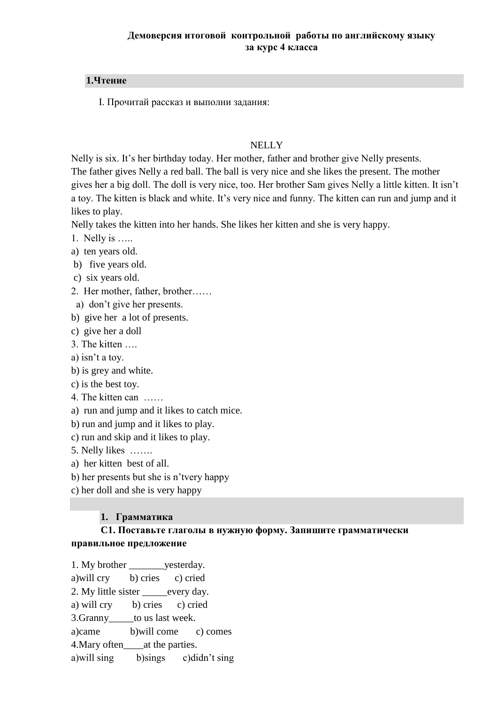### **1.Чтение**

I. Прочитай рассказ и выполни задания:

#### **NELLY**

Nelly is six. It's her birthday today. Her mother, father and brother give Nelly presents. The father gives Nelly a red ball. The ball is very nice and she likes the present. The mother gives her a big doll. The doll is very nice, too. Her brother Sam gives Nelly a little kitten. It isn't a toy. The kitten is black and white. It's very nice and funny. The kitten can run and jump and it likes to play.

Nelly takes the kitten into her hands. She likes her kitten and she is very happy.

1. Nelly is …..

a) ten years old.

b) five years old.

c) six years old.

2. Her mother, father, brother……

a) don't give her presents.

b) give her a lot of presents.

c) give her a doll

3. The kitten ….

a) isn't a toy.

b) is grey and white.

c) is the best toy.

4. The kitten can ……

a) run and jump and it likes to catch mice.

b) run and jump and it likes to play.

c) run and skip and it likes to play.

5. Nelly likes …….

a) her kitten best of all.

b) her presents but she is n'tvery happy

c) her doll and she is very happy

### **1. Грамматика**

### **C1. Поставьте глаголы в нужную форму. Запишите грамматически правильное предложение**

1. My brother \_\_\_\_\_\_\_\_\_ yesterday. a)will cry b) cries c) cried 2. My little sister every day. a) will cry b) cries c) cried 3. Granny to us last week. a)came b)will come c) comes 4.Mary often\_\_\_\_at the parties. a)will sing b)sings c)didn't sing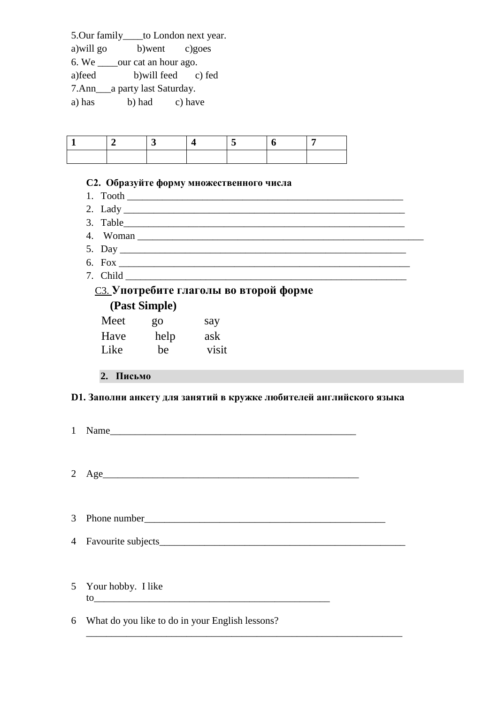5.Our family\_\_\_\_to London next year.

a)will go b)went c)goes

6. We \_\_\_\_our cat an hour ago.

a)feed b)will feed c) fed

7.Ann\_\_\_a party last Saturday.

a) has b) had c) have

### **C2. Образуйте форму множественного числа**

- 
- 1. Tooth \_\_\_\_\_\_\_\_\_\_\_\_\_\_\_\_\_\_\_\_\_\_\_\_\_\_\_\_\_\_\_\_\_\_\_\_\_\_\_\_\_\_\_\_\_\_\_\_\_\_\_\_\_\_\_ 2. Lady \_\_\_\_\_\_\_\_\_\_\_\_\_\_\_\_\_\_\_\_\_\_\_\_\_\_\_\_\_\_\_\_\_\_\_\_\_\_\_\_\_\_\_\_\_\_\_\_\_\_\_\_\_\_\_\_
- 
- 3. Table\_\_\_\_\_\_\_\_\_\_\_\_\_\_\_\_\_\_\_\_\_\_\_\_\_\_\_\_\_\_\_\_\_\_\_\_\_\_\_\_\_\_\_\_\_\_\_\_\_\_\_\_\_\_\_\_ 4. Woman
- 5. Day \_\_\_\_\_\_\_\_\_\_\_\_\_\_\_\_\_\_\_\_\_\_\_\_\_\_\_\_\_\_\_\_\_\_\_\_\_\_\_\_\_\_\_\_\_\_\_\_\_\_\_\_\_\_\_\_\_
- 6. Fox \_\_\_\_\_\_\_\_\_\_\_\_\_\_\_\_\_\_\_\_\_\_\_\_\_\_\_\_\_\_\_\_\_\_\_\_\_\_\_\_\_\_\_\_\_\_\_\_\_\_\_\_\_\_\_\_\_\_
- 7. Child \_\_\_\_\_\_\_\_\_\_\_\_\_\_\_\_\_\_\_\_\_\_\_\_\_\_\_\_\_\_\_\_\_\_\_\_\_\_\_\_\_\_\_\_\_\_\_\_\_\_\_\_\_\_\_\_

## C3. **Употребите глаголы во второй форме (Past Simple)**

|      | $(4.000)$ Demapro |       |  |  |  |
|------|-------------------|-------|--|--|--|
| Meet | go                | say   |  |  |  |
| Have | help              | ask   |  |  |  |
| Like | be                | visit |  |  |  |
|      |                   |       |  |  |  |

# **2. Письмо**

# **D1. Заполни анкету для занятий в кружке любителей английского языка**

| 1 Name                                                                                                                                                                                                                                                                                                                |  |
|-----------------------------------------------------------------------------------------------------------------------------------------------------------------------------------------------------------------------------------------------------------------------------------------------------------------------|--|
| $2 \text{ Age}$                                                                                                                                                                                                                                                                                                       |  |
|                                                                                                                                                                                                                                                                                                                       |  |
|                                                                                                                                                                                                                                                                                                                       |  |
| 5 Your hobby. I like<br>$\frac{1}{2}$ to $\frac{1}{2}$ to $\frac{1}{2}$ and $\frac{1}{2}$ and $\frac{1}{2}$ and $\frac{1}{2}$ and $\frac{1}{2}$ and $\frac{1}{2}$ and $\frac{1}{2}$ and $\frac{1}{2}$ and $\frac{1}{2}$ and $\frac{1}{2}$ and $\frac{1}{2}$ and $\frac{1}{2}$ and $\frac{1}{2}$ and $\frac{1}{2}$ and |  |
| 6 What do you like to do in your English lessons?                                                                                                                                                                                                                                                                     |  |